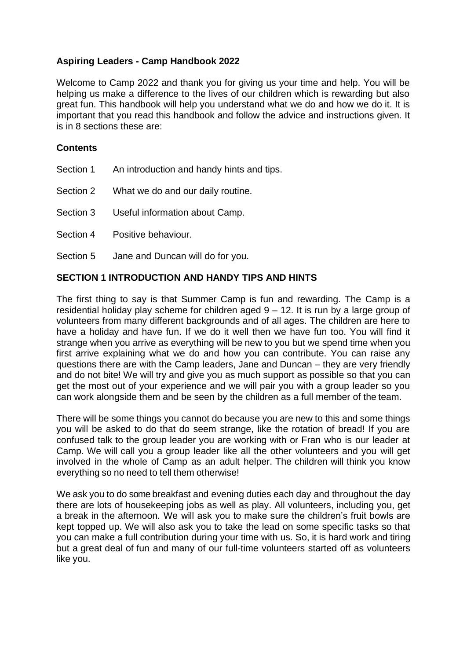# **Aspiring Leaders - Camp Handbook 2022**

Welcome to Camp 2022 and thank you for giving us your time and help. You will be helping us make a difference to the lives of our children which is rewarding but also great fun. This handbook will help you understand what we do and how we do it. It is important that you read this handbook and follow the advice and instructions given. It is in 8 sections these are:

## **Contents**

- Section 1 An introduction and handy hints and tips.
- Section 2 What we do and our daily routine.
- Section 3 Useful information about Camp.
- Section 4 Positive behaviour.
- Section 5 Jane and Duncan will do for you.

### **SECTION 1 INTRODUCTION AND HANDY TIPS AND HINTS**

The first thing to say is that Summer Camp is fun and rewarding. The Camp is a residential holiday play scheme for children aged  $9 - 12$ . It is run by a large group of volunteers from many different backgrounds and of all ages. The children are here to have a holiday and have fun. If we do it well then we have fun too. You will find it strange when you arrive as everything will be new to you but we spend time when you first arrive explaining what we do and how you can contribute. You can raise any questions there are with the Camp leaders, Jane and Duncan – they are very friendly and do not bite! We will try and give you as much support as possible so that you can get the most out of your experience and we will pair you with a group leader so you can work alongside them and be seen by the children as a full member of the team.

There will be some things you cannot do because you are new to this and some things you will be asked to do that do seem strange, like the rotation of bread! If you are confused talk to the group leader you are working with or Fran who is our leader at Camp. We will call you a group leader like all the other volunteers and you will get involved in the whole of Camp as an adult helper. The children will think you know everything so no need to tell them otherwise!

We ask you to do some breakfast and evening duties each day and throughout the day there are lots of housekeeping jobs as well as play. All volunteers, including you, get a break in the afternoon. We will ask you to make sure the children's fruit bowls are kept topped up. We will also ask you to take the lead on some specific tasks so that you can make a full contribution during your time with us. So, it is hard work and tiring but a great deal of fun and many of our full-time volunteers started off as volunteers like you.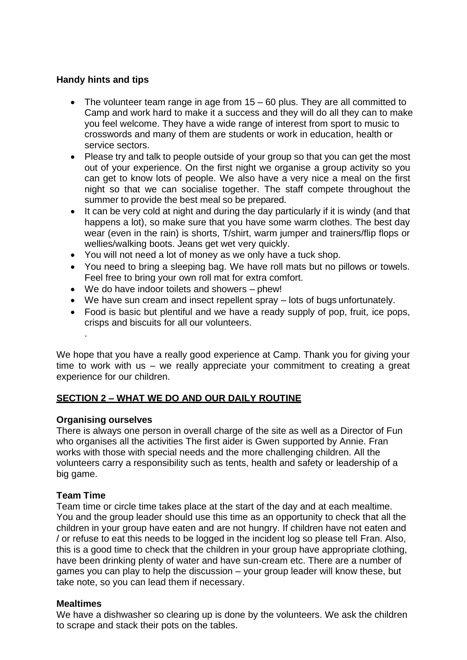# **Handy hints and tips**

- The volunteer team range in age from 15 60 plus. They are all committed to Camp and work hard to make it a success and they will do all they can to make you feel welcome. They have a wide range of interest from sport to music to crosswords and many of them are students or work in education, health or service sectors.
- Please try and talk to people outside of your group so that you can get the most out of your experience. On the first night we organise a group activity so you can get to know lots of people. We also have a very nice a meal on the first night so that we can socialise together. The staff compete throughout the summer to provide the best meal so be prepared.
- It can be very cold at night and during the day particularly if it is windy (and that happens a lot), so make sure that you have some warm clothes. The best day wear (even in the rain) is shorts, T/shirt, warm jumper and trainers/flip flops or wellies/walking boots. Jeans get wet very quickly.
- You will not need a lot of money as we only have a tuck shop.
- You need to bring a sleeping bag. We have roll mats but no pillows or towels. Feel free to bring your own roll mat for extra comfort.
- We do have indoor toilets and showers phew!
- We have sun cream and insect repellent spray lots of bugs unfortunately.
- Food is basic but plentiful and we have a ready supply of pop, fruit, ice pops, crisps and biscuits for all our volunteers.

We hope that you have a really good experience at Camp. Thank you for giving your time to work with us – we really appreciate your commitment to creating a great experience for our children.

### **SECTION 2 – WHAT WE DO AND OUR DAILY ROUTINE**

### **Organising ourselves**

.

There is always one person in overall charge of the site as well as a Director of Fun who organises all the activities The first aider is Gwen supported by Annie. Fran works with those with special needs and the more challenging children. All the volunteers carry a responsibility such as tents, health and safety or leadership of a big game.

### **Team Time**

Team time or circle time takes place at the start of the day and at each mealtime. You and the group leader should use this time as an opportunity to check that all the children in your group have eaten and are not hungry. If children have not eaten and / or refuse to eat this needs to be logged in the incident log so please tell Fran. Also, this is a good time to check that the children in your group have appropriate clothing, have been drinking plenty of water and have sun-cream etc. There are a number of games you can play to help the discussion – your group leader will know these, but take note, so you can lead them if necessary.

### **Mealtimes**

We have a dishwasher so clearing up is done by the volunteers. We ask the children to scrape and stack their pots on the tables.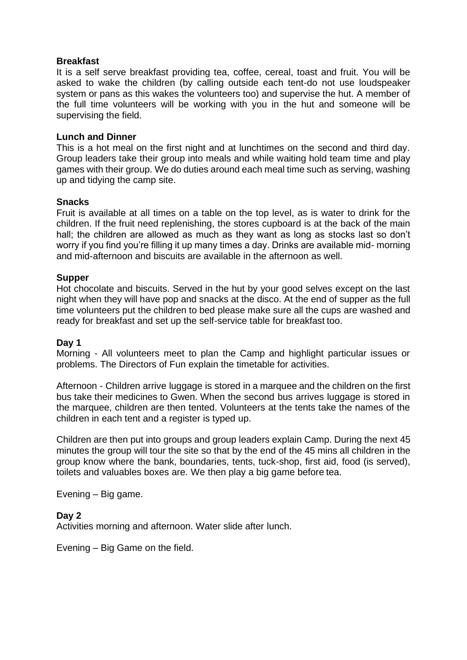#### **Breakfast**

It is a self serve breakfast providing tea, coffee, cereal, toast and fruit. You will be asked to wake the children (by calling outside each tent-do not use loudspeaker system or pans as this wakes the volunteers too) and supervise the hut. A member of the full time volunteers will be working with you in the hut and someone will be supervising the field.

#### **Lunch and Dinner**

This is a hot meal on the first night and at lunchtimes on the second and third day. Group leaders take their group into meals and while waiting hold team time and play games with their group. We do duties around each meal time such as serving, washing up and tidying the camp site.

#### **Snacks**

Fruit is available at all times on a table on the top level, as is water to drink for the children. If the fruit need replenishing, the stores cupboard is at the back of the main hall; the children are allowed as much as they want as long as stocks last so don't worry if you find you're filling it up many times a day. Drinks are available mid- morning and mid-afternoon and biscuits are available in the afternoon as well.

#### **Supper**

Hot chocolate and biscuits. Served in the hut by your good selves except on the last night when they will have pop and snacks at the disco. At the end of supper as the full time volunteers put the children to bed please make sure all the cups are washed and ready for breakfast and set up the self-service table for breakfast too.

#### **Day 1**

Morning - All volunteers meet to plan the Camp and highlight particular issues or problems. The Directors of Fun explain the timetable for activities.

Afternoon - Children arrive luggage is stored in a marquee and the children on the first bus take their medicines to Gwen. When the second bus arrives luggage is stored in the marquee, children are then tented. Volunteers at the tents take the names of the children in each tent and a register is typed up.

Children are then put into groups and group leaders explain Camp. During the next 45 minutes the group will tour the site so that by the end of the 45 mins all children in the group know where the bank, boundaries, tents, tuck-shop, first aid, food (is served), toilets and valuables boxes are. We then play a big game before tea.

Evening – Big game.

#### **Day 2**

Activities morning and afternoon. Water slide after lunch.

Evening – Big Game on the field.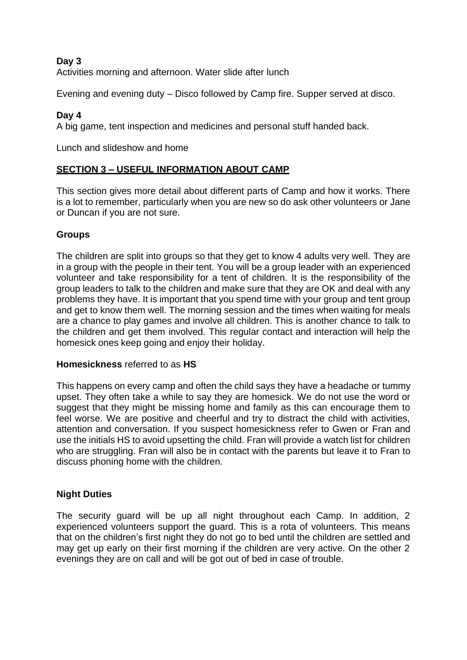# **Day 3**

Activities morning and afternoon. Water slide after lunch

Evening and evening duty – Disco followed by Camp fire. Supper served at disco.

## **Day 4**

A big game, tent inspection and medicines and personal stuff handed back.

Lunch and slideshow and home

# **SECTION 3 – USEFUL INFORMATION ABOUT CAMP**

This section gives more detail about different parts of Camp and how it works. There is a lot to remember, particularly when you are new so do ask other volunteers or Jane or Duncan if you are not sure.

# **Groups**

The children are split into groups so that they get to know 4 adults very well. They are in a group with the people in their tent. You will be a group leader with an experienced volunteer and take responsibility for a tent of children. It is the responsibility of the group leaders to talk to the children and make sure that they are OK and deal with any problems they have. It is important that you spend time with your group and tent group and get to know them well. The morning session and the times when waiting for meals are a chance to play games and involve all children. This is another chance to talk to the children and get them involved. This regular contact and interaction will help the homesick ones keep going and enjoy their holiday.

### **Homesickness** referred to as **HS**

This happens on every camp and often the child says they have a headache or tummy upset. They often take a while to say they are homesick. We do not use the word or suggest that they might be missing home and family as this can encourage them to feel worse. We are positive and cheerful and try to distract the child with activities, attention and conversation. If you suspect homesickness refer to Gwen or Fran and use the initials HS to avoid upsetting the child. Fran will provide a watch list for children who are struggling. Fran will also be in contact with the parents but leave it to Fran to discuss phoning home with the children.

### **Night Duties**

The security guard will be up all night throughout each Camp. In addition, 2 experienced volunteers support the guard. This is a rota of volunteers. This means that on the children's first night they do not go to bed until the children are settled and may get up early on their first morning if the children are very active. On the other 2 evenings they are on call and will be got out of bed in case of trouble.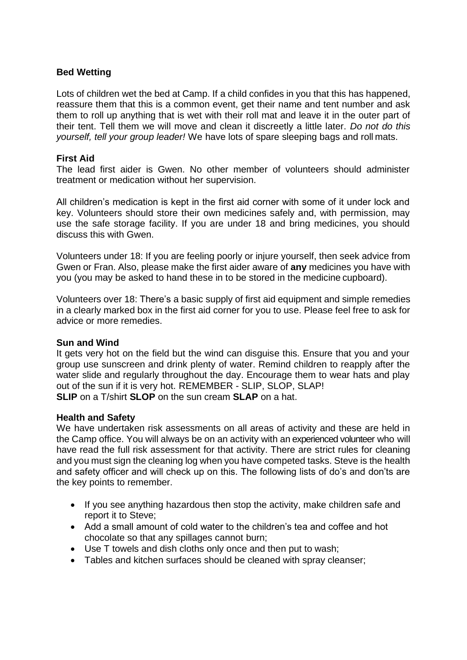# **Bed Wetting**

Lots of children wet the bed at Camp. If a child confides in you that this has happened, reassure them that this is a common event, get their name and tent number and ask them to roll up anything that is wet with their roll mat and leave it in the outer part of their tent. Tell them we will move and clean it discreetly a little later. *Do not do this yourself, tell your group leader!* We have lots of spare sleeping bags and roll mats.

### **First Aid**

The lead first aider is Gwen. No other member of volunteers should administer treatment or medication without her supervision.

All children's medication is kept in the first aid corner with some of it under lock and key. Volunteers should store their own medicines safely and, with permission, may use the safe storage facility. If you are under 18 and bring medicines, you should discuss this with Gwen.

Volunteers under 18: If you are feeling poorly or injure yourself, then seek advice from Gwen or Fran. Also, please make the first aider aware of **any** medicines you have with you (you may be asked to hand these in to be stored in the medicine cupboard).

Volunteers over 18: There's a basic supply of first aid equipment and simple remedies in a clearly marked box in the first aid corner for you to use. Please feel free to ask for advice or more remedies.

#### **Sun and Wind**

It gets very hot on the field but the wind can disguise this. Ensure that you and your group use sunscreen and drink plenty of water. Remind children to reapply after the water slide and regularly throughout the day. Encourage them to wear hats and play out of the sun if it is very hot. REMEMBER - SLIP, SLOP, SLAP! **SLIP** on a T/shirt **SLOP** on the sun cream **SLAP** on a hat.

#### **Health and Safety**

We have undertaken risk assessments on all areas of activity and these are held in the Camp office. You will always be on an activity with an experienced volunteer who will have read the full risk assessment for that activity. There are strict rules for cleaning and you must sign the cleaning log when you have competed tasks. Steve is the health and safety officer and will check up on this. The following lists of do's and don'ts are the key points to remember.

- If you see anything hazardous then stop the activity, make children safe and report it to Steve;
- Add a small amount of cold water to the children's tea and coffee and hot chocolate so that any spillages cannot burn;
- Use T towels and dish cloths only once and then put to wash;
- Tables and kitchen surfaces should be cleaned with spray cleanser;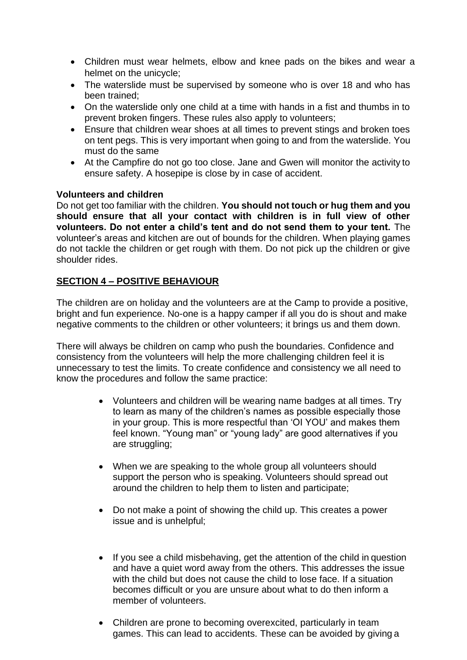- Children must wear helmets, elbow and knee pads on the bikes and wear a helmet on the unicycle;
- The waterslide must be supervised by someone who is over 18 and who has been trained;
- On the waterslide only one child at a time with hands in a fist and thumbs in to prevent broken fingers. These rules also apply to volunteers;
- Ensure that children wear shoes at all times to prevent stings and broken toes on tent pegs. This is very important when going to and from the waterslide. You must do the same
- At the Campfire do not go too close. Jane and Gwen will monitor the activity to ensure safety. A hosepipe is close by in case of accident.

### **Volunteers and children**

Do not get too familiar with the children. **You should not touch or hug them and you should ensure that all your contact with children is in full view of other volunteers. Do not enter a child's tent and do not send them to your tent.** The volunteer's areas and kitchen are out of bounds for the children. When playing games do not tackle the children or get rough with them. Do not pick up the children or give shoulder rides.

# **SECTION 4 – POSITIVE BEHAVIOUR**

The children are on holiday and the volunteers are at the Camp to provide a positive, bright and fun experience. No-one is a happy camper if all you do is shout and make negative comments to the children or other volunteers; it brings us and them down.

There will always be children on camp who push the boundaries. Confidence and consistency from the volunteers will help the more challenging children feel it is unnecessary to test the limits. To create confidence and consistency we all need to know the procedures and follow the same practice:

- Volunteers and children will be wearing name badges at all times. Try to learn as many of the children's names as possible especially those in your group. This is more respectful than 'OI YOU' and makes them feel known. "Young man" or "young lady" are good alternatives if you are struggling;
- When we are speaking to the whole group all volunteers should support the person who is speaking. Volunteers should spread out around the children to help them to listen and participate;
- Do not make a point of showing the child up. This creates a power issue and is unhelpful;
- If you see a child misbehaving, get the attention of the child in question and have a quiet word away from the others. This addresses the issue with the child but does not cause the child to lose face. If a situation becomes difficult or you are unsure about what to do then inform a member of volunteers.
- Children are prone to becoming overexcited, particularly in team games. This can lead to accidents. These can be avoided by giving a